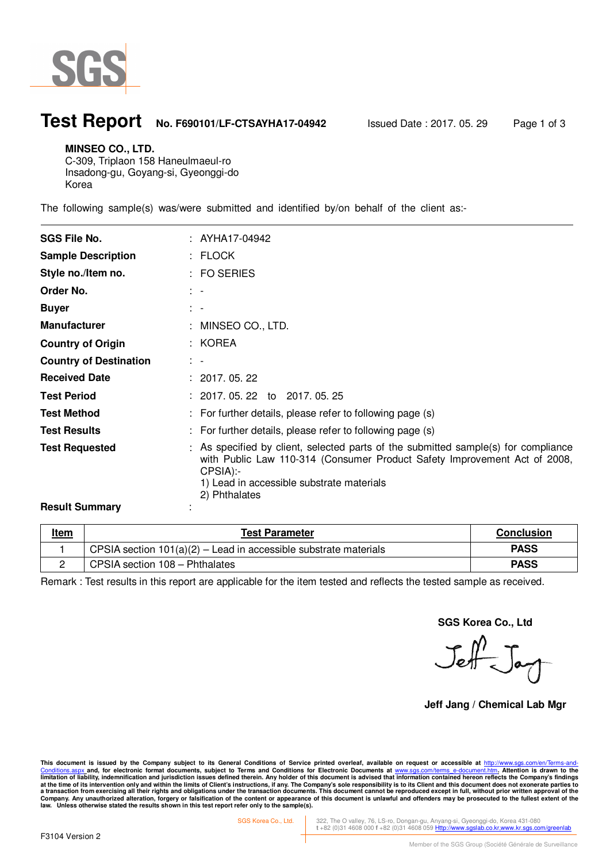

 $\ddot{\phantom{a}}$ 

### **Test Report No. F690101/LF-CTSAYHA17-04942** Issued Date : 2017. 05. 29 Page 1 of 3

#### **MINSEO CO., LTD.**

C-309, Triplaon 158 Haneulmaeul-ro Insadong-gu, Goyang-si, Gyeonggi-do Korea

The following sample(s) was/were submitted and identified by/on behalf of the client as:-

| <b>SGS File No.</b>           | : AYHA17-04942                                                                                                                                                                                                                            |
|-------------------------------|-------------------------------------------------------------------------------------------------------------------------------------------------------------------------------------------------------------------------------------------|
| <b>Sample Description</b>     | : FLOCK                                                                                                                                                                                                                                   |
| Style no./Item no.            | $:$ FO SERIES                                                                                                                                                                                                                             |
| Order No.                     | $\frac{1}{2}$ $\frac{1}{2}$                                                                                                                                                                                                               |
| <b>Buyer</b>                  | $\mathbb{R}^n$                                                                                                                                                                                                                            |
| <b>Manufacturer</b>           | : MINSEO CO., LTD.                                                                                                                                                                                                                        |
| <b>Country of Origin</b>      | : KOREA                                                                                                                                                                                                                                   |
| <b>Country of Destination</b> | $\mathbb{R}^n$                                                                                                                                                                                                                            |
| <b>Received Date</b>          | : 2017.05.22                                                                                                                                                                                                                              |
| <b>Test Period</b>            | $: 2017, 05, 22$ to 2017, 05, 25                                                                                                                                                                                                          |
| <b>Test Method</b>            | : For further details, please refer to following page (s)                                                                                                                                                                                 |
| <b>Test Results</b>           | : For further details, please refer to following page (s)                                                                                                                                                                                 |
| <b>Test Requested</b>         | : As specified by client, selected parts of the submitted sample(s) for compliance<br>with Public Law 110-314 (Consumer Product Safety Improvement Act of 2008,<br>CPSIA):-<br>1) Lead in accessible substrate materials<br>2) Phthalates |
| <b>Result Summary</b>         |                                                                                                                                                                                                                                           |

| <u>Item</u> | <b>Test Parameter</b>                                              | <b>Conclusion</b> |
|-------------|--------------------------------------------------------------------|-------------------|
|             | CPSIA section $101(a)(2)$ – Lead in accessible substrate materials | <b>PASS</b>       |
|             | CPSIA section 108 - Phthalates                                     | <b>PASS</b>       |

Remark : Test results in this report are applicable for the item tested and reflects the tested sample as received.

**SGS Korea Co., Ltd** 

Jeff Jay

**Jeff Jang / Chemical Lab Mgr** 

This document is issued by the Company subject to its General Conditions of Service printed overleaf, available on request or accessible at <u>http://www.sgs.com/en/Terms-and-</u><br><u>Conditions.aspx </u>and, for electronic format do limitation of liability, indemnification and jurisdiction issues defined therein. Any holder of this document is advised that information contained hereon reflects the Company's findings<br>at the time of its intervention onl

SGS Korea Co., Ltd. 322, The O valley, 76, LS-ro, Dongan-gu, Anyang-si, Gyeonggi-do, Korea 431-080 **t** +82 (0)31 4608 000 **f** +82 (0)31 4608 059 Http://www.sgslab.co.kr,www.kr.sgs.com/greenlab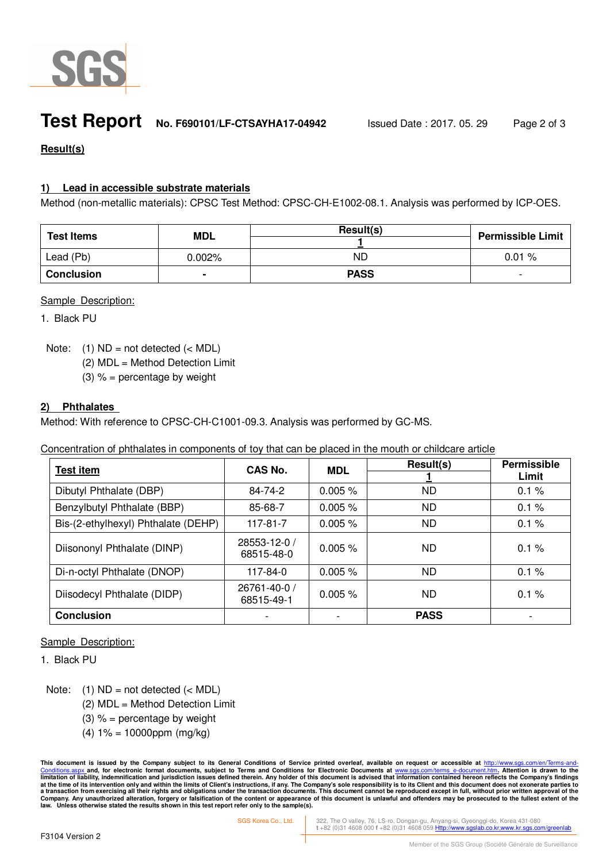

## **Test Report No. F690101/LF-CTSAYHA17-04942** Issued Date : 2017. 05. 29 Page 2 of 3

### **Result(s)**

#### **1) Lead in accessible substrate materials**

Method (non-metallic materials): CPSC Test Method: CPSC-CH-E1002-08.1. Analysis was performed by ICP-OES.

| <b>Test Items</b> | <b>MDL</b>     | Result(s)   | <b>Permissible Limit</b> |
|-------------------|----------------|-------------|--------------------------|
| Lead (Pb)         | $0.002\%$      | ΝD          | 0.01%                    |
| <b>Conclusion</b> | $\blacksquare$ | <b>PASS</b> | $\overline{\phantom{0}}$ |

#### Sample Description:

1. Black PU

Note:  $(1)$  ND = not detected  $(<sub>MDL</sub>)$ 

(2) MDL = Method Detection Limit

(3)  $% =$  percentage by weight

#### **2) Phthalates**

Method: With reference to CPSC-CH-C1001-09.3. Analysis was performed by GC-MS.

Concentration of phthalates in components of toy that can be placed in the mouth or childcare article

| <b>Test item</b>                    | CAS No.                    | <b>MDL</b> | Result(s)   | Permissible |
|-------------------------------------|----------------------------|------------|-------------|-------------|
|                                     |                            |            |             | Limit       |
| Dibutyl Phthalate (DBP)             | 84-74-2                    | 0.005%     | <b>ND</b>   | 0.1%        |
| Benzylbutyl Phthalate (BBP)         | 85-68-7                    | 0.005%     | ND          | 0.1%        |
| Bis-(2-ethylhexyl) Phthalate (DEHP) | 117-81-7                   | 0.005%     | <b>ND</b>   | 0.1%        |
| Diisononyl Phthalate (DINP)         | 28553-12-0 /<br>68515-48-0 | $0.005 \%$ | <b>ND</b>   | 0.1%        |
| Di-n-octyl Phthalate (DNOP)         | 117-84-0                   | 0.005%     | <b>ND</b>   | 0.1%        |
| Diisodecyl Phthalate (DIDP)         | 26761-40-0 /<br>68515-49-1 | 0.005%     | <b>ND</b>   | 0.1%        |
| <b>Conclusion</b>                   |                            |            | <b>PASS</b> |             |

#### Sample Description:

1. Black PU

Note:  $(1)$  ND = not detected  $(<sub>MDL</sub>)$ 

- (2) MDL = Method Detection Limit
- (3)  $% =$  percentage by weight
- $(4) 1\% = 10000$ ppm (mg/kg)

This document is issued by the Company subject to its General Conditions of Service printed overleaf, available on request or accessible at <u>http://www.sgs.com/en/Terms-and-</u><br><u>Conditions.aspx </u>and, for electronic format do limitation of liability, indemnification and jurisdiction issues defined therein. Any holder of this document is advised that information contained hereon reflects the Company's findings<br>at the time of its intervention onl